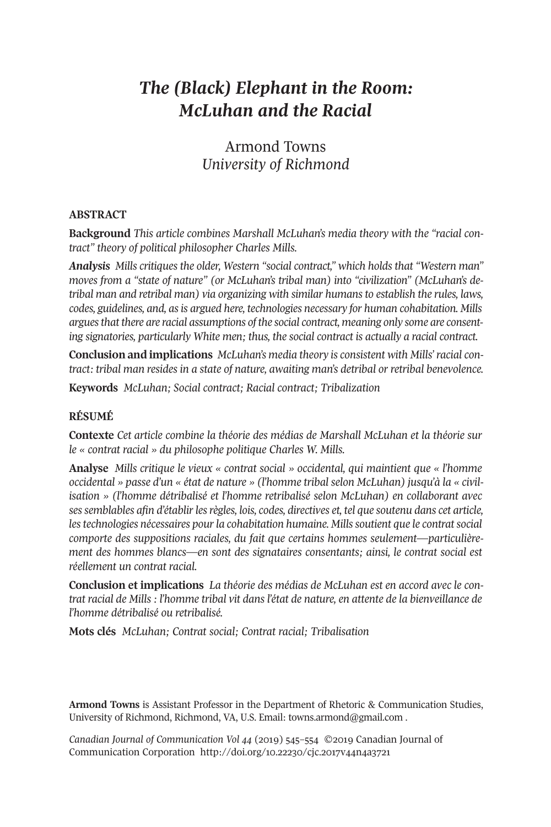# *The (Black) Elephant in the Room: McLuhan and the Racial*

# Armond Towns *University of Richmond*

#### **ABSTRACT**

**Background** *This article combines Marshall McLuhan's media theory with the "racial contract" theory of political philosopher Charles Mills.*

*Analysis Mills critiques the older, Western "social contract," which holds that "Western man" moves from a "state of nature" (or McLuhan's tribal man) into "civilization" (McLuhan's detribal man and retribal man) via organizing with similar humans to establish the rules, laws, codes, guidelines, and, asis argued here, technologies necessary for human cohabitation. Mills arguesthat there are racial assumptions of the social contract, meaning only some are consenting signatories, particularly White men; thus, the social contract is actually a racial contract.*

**Conclusion and implications** *McLuhan's media theory is consistent with Mills'racial contract: tribal man resides in a state of nature, awaiting man's detribal or retribal benevolence.*

**Keywords** *McLuhan; Social contract; Racial contract; Tribalization*

## **RÉSUMÉ**

**Contexte** *Cet article combine la théorie des médias de Marshall McLuhan et la théorie sur le « contrat racial » du philosophe politique Charles W. Mills.*

**Analyse** *Mills critique le vieux « contrat social » occidental, qui maintient que « l'homme occidental » passe d'un « état de nature » (l'homme tribal selon McLuhan) jusqu'à la « civilisation » (l'homme détribalisé et l'homme retribalisé selon McLuhan) en collaborant avec sessemblables afin d'établirlesrègles, lois, codes, directives et, tel que soutenu dans cet article, lestechnologies nécessaires pourla cohabitation humaine. Millssoutient que le contratsocial comporte des suppositions raciales, du fait que certains hommes seulement—particulièrement des hommes blancs—en sont des signataires consentants; ainsi, le contrat social est réellement un contrat racial.*

**Conclusion et implications** *La théorie des médias de McLuhan est en accord avec le contrat racial de Mills : l'homme tribal vit dans l'état de nature, en attente de la bienveillance de l'homme détribalisé ou retribalisé.*

**Mots clés** *McLuhan; Contrat social; Contrat racial; Tribalisation*

**Armond Towns** is Assistant Professor in the Department of Rhetoric & Communication Studies, University of Richmond, Richmond, VA, U.S. Email: [towns.armond@gmail.com](mailto:towns.armond@gmail.com) .

*Canadian Journal of [Communication](http://www.cjc-online.ca) Vol 44* (2019) 545–554 ©2019 Canadian Journal of Communication Corporation <http://doi.org/10.22230/cjc.2017v44n4a3721>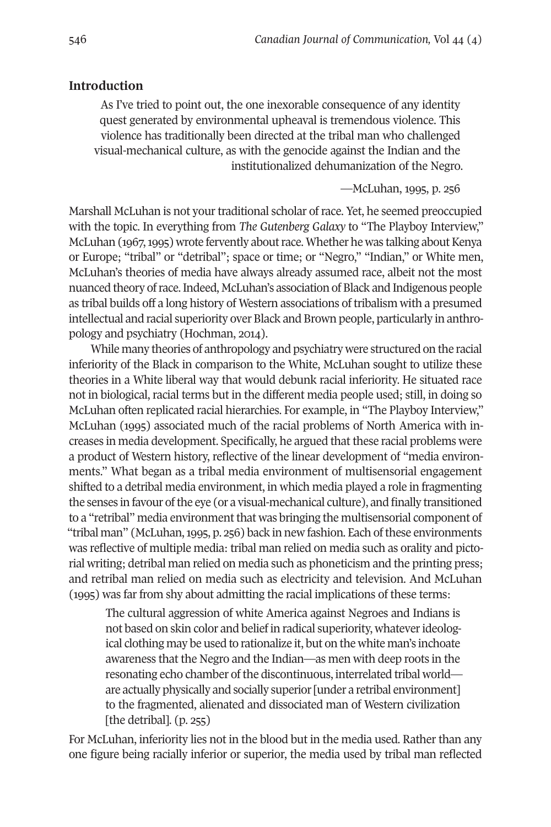## **Introduction**

As I've tried to point out, the one inexorable consequence of any identity quest generated by environmental upheaval is tremendous violence. This violence has traditionally been directed at the tribal man who challenged visual-mechanical culture, as with the genocide against the Indian and the institutionalized dehumanization of the Negro.

—McLuhan, 1995, p. 256

Marshall McLuhan is not your traditional scholar of race. Yet, he seemed preoccupied with the topic. In everything from *The Gutenberg Galaxy* to "The Playboy Interview," McLuhan (1967, 1995) wrote fervently about race. Whether he was talking about Kenya or Europe; "tribal" or "detribal"; space or time; or "Negro," "Indian," or White men, McLuhan's theories of media have always already assumed race, albeit not the most nuanced theory ofrace.Indeed, McLuhan's association of Black and Indigenous people as tribal builds off a long history of Western associations of tribalism with a presumed intellectual and racial superiority over Black and Brown people, particularly in anthropology and psychiatry (Hochman, 2014).

While many theories of anthropology and psychiatry were structured on the racial inferiority of the Black in comparison to the White, McLuhan sought to utilize these theories in a White liberal way that would debunk racial inferiority. He situated race not in biological, racial terms but in the different media people used; still, in doing so McLuhan often replicated racial hierarchies. For example, in "The Playboy Interview," McLuhan (1995) associated much of the racial problems of North America with increases in media development. Specifically, he argued that these racial problems were a product of Western history, reflective of the linear development of "media environments." What began as a tribal media environment of multisensorial engagement shifted to a detribal media environment, in which media played a role in fragmenting the senses in favour of the eye (or a visual-mechanical culture), and finally transitioned to a "retribal" media environmentthat was bringing the multisensorial component of "tribal man" (McLuhan, 1995, p. 256) back in new fashion. Each of these environments was reflective of multiple media: tribal man relied on media such as orality and pictorial writing; detribal man relied on media such as phoneticism and the printing press; and retribal man relied on media such as electricity and television. And McLuhan (1995) was far from shy about admitting the racial implications of these terms:

The cultural aggression of white America against Negroes and Indians is not based on skin color and belief in radical superiority, whateverideological clothing may be used to rationalize it, but on the white man's inchoate awareness that the Negro and the Indian—as men with deep roots in the resonating echo chamber of the discontinuous, interrelated tribal world are actually physically and socially superior [under a retribal environment] to the fragmented, alienated and dissociated man of Western civilization [the detribal].  $(p. 255)$ 

For McLuhan, inferiority lies not in the blood but in the media used. Rather than any one figure being racially inferior or superior, the media used by tribal man reflected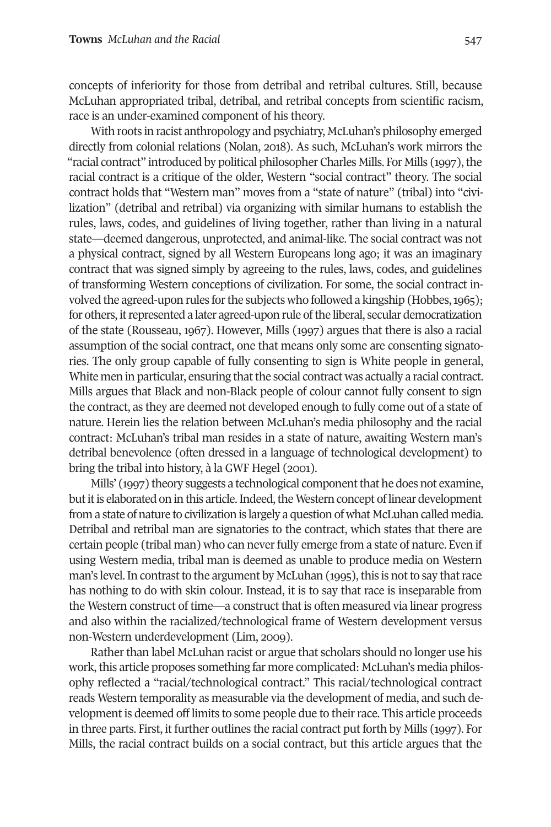concepts of inferiority for those from detribal and retribal cultures. Still, because McLuhan appropriated tribal, detribal, and retribal concepts from scientific racism, race is an under-examined component of his theory.

With roots in racist anthropology and psychiatry, McLuhan's philosophy emerged directly from colonial relations (Nolan, 2018). As such, McLuhan's work mirrors the "racial contract" introduced by political philosopher Charles Mills. For Mills (1997), the racial contract is a critique of the older, Western "social contract" theory. The social contract holds that "Western man" moves from a "state of nature" (tribal) into "civilization" (detribal and retribal) via organizing with similar humans to establish the rules, laws, codes, and guidelines of living together, rather than living in a natural state—deemed dangerous, unprotected, and animal-like. The social contract was not a physical contract, signed by all Western Europeans long ago; it was an imaginary contract that was signed simply by agreeing to the rules, laws, codes, and guidelines of transforming Western conceptions of civilization. For some, the social contract involved the agreed-upon rules for the subjects who followed a kingship (Hobbes, 1965); for others, it represented a later agreed-upon rule of the liberal, secular democratization of the state (Rousseau, 1967). However, Mills (1997) argues that there is also a racial assumption of the social contract, one that means only some are consenting signatories. The only group capable of fully consenting to sign is White people in general, White men in particular, ensuring that the social contract was actually a racial contract. Mills argues that Black and non-Black people of colour cannot fully consent to sign the contract, as they are deemed not developed enough to fully come out of a state of nature. Herein lies the relation between McLuhan's media philosophy and the racial contract: McLuhan's tribal man resides in a state of nature, awaiting Western man's detribal benevolence (often dressed in a language of technological development) to bring the tribal into history, à la GWF Hegel (2001).

Mills' (1997) theory suggests a technological component that he does not examine, but it is elaborated on in this article. Indeed, the Western concept of linear development from a state of nature to civilization is largely a question of what McLuhan called media. Detribal and retribal man are signatories to the contract, which states that there are certain people (tribal man) who can neverfully emerge from a state of nature. Even if using Western media, tribal man is deemed as unable to produce media on Western man's level. In contrast to the argument by McLuhan (1995), this is not to say that race has nothing to do with skin colour. Instead, it is to say that race is inseparable from the Western construct of time—a construct that is often measured via linear progress and also within the racialized/technological frame of Western development versus non-Western underdevelopment (Lim, 2009).

Rather than label McLuhan racist or argue that scholars should no longer use his work, this article proposes something far more complicated: McLuhan's media philosophy reflected a "racial/technological contract." This racial/technological contract reads Western temporality as measurable via the development of media, and such development is deemed off limits to some people due to their race. This article proceeds in three parts. First, it further outlines the racial contract put forth by Mills (1997). For Mills, the racial contract builds on a social contract, but this article argues that the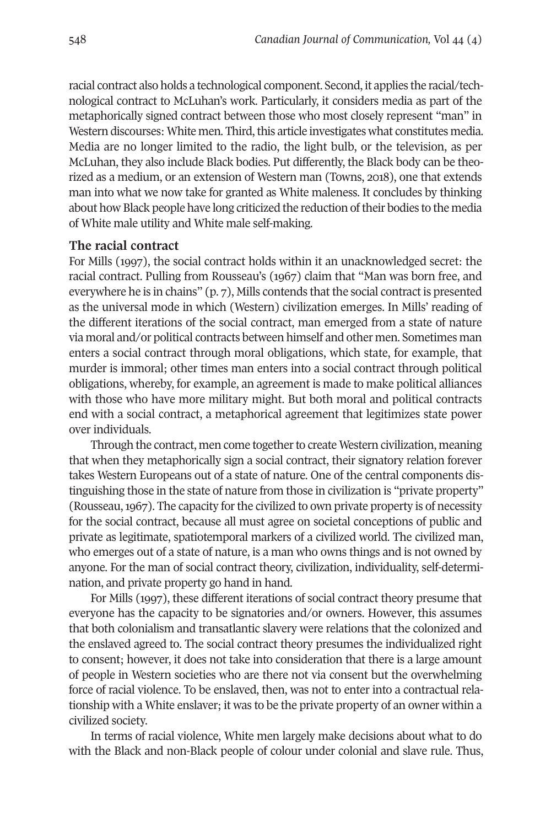racial contract also holds a technological component. Second, it applies the racial/technological contract to McLuhan's work. Particularly, it considers media as part of the metaphorically signed contract between those who most closely represent "man" in Western discourses: White men. Third, this article investigates what constitutes media. Media are no longer limited to the radio, the light bulb, or the television, as per McLuhan, they also include Black bodies. Put differently, the Black body can be theorized as a medium, or an extension of Western man (Towns, 2018), one that extends man into what we now take for granted as White maleness. It concludes by thinking about how Black people have long criticized the reduction oftheir bodies to the media of White male utility and White male self-making.

#### **The racial contract**

For Mills (1997), the social contract holds within it an unacknowledged secret: the racial contract. Pulling from Rousseau's (1967) claim that "Man was born free, and everywhere he is in chains" (p. 7), Mills contends that the social contract is presented as the universal mode in which (Western) civilization emerges. In Mills' reading of the different iterations of the social contract, man emerged from a state of nature via moral and/or political contracts between himself and other men. Sometimes man enters a social contract through moral obligations, which state, for example, that murder is immoral; other times man enters into a social contract through political obligations, whereby, for example, an agreement is made to make political alliances with those who have more military might. But both moral and political contracts end with a social contract, a metaphorical agreement that legitimizes state power over individuals.

Through the contract, men come together to create Western civilization, meaning that when they metaphorically sign a social contract, their signatory relation forever takes Western Europeans out of a state of nature. One of the central components distinguishing those in the state of nature from those in civilization is "private property" (Rousseau, 1967). The capacity for the civilized to own private property is of necessity for the social contract, because all must agree on societal conceptions of public and private as legitimate, spatiotemporal markers of a civilized world. The civilized man, who emerges out of a state of nature, is a man who owns things and is not owned by anyone. For the man of social contract theory, civilization, individuality, self-determination, and private property go hand in hand.

For Mills (1997), these different iterations of social contract theory presume that everyone has the capacity to be signatories and/or owners. However, this assumes that both colonialism and transatlantic slavery were relations that the colonized and the enslaved agreed to. The social contract theory presumes the individualized right to consent; however, it does not take into consideration that there is a large amount of people in Western societies who are there not via consent but the overwhelming force of racial violence. To be enslaved, then, was not to enter into a contractual relationship with a White enslaver; it was to be the private property of an owner within a civilized society.

In terms of racial violence, White men largely make decisions about what to do with the Black and non-Black people of colour under colonial and slave rule. Thus,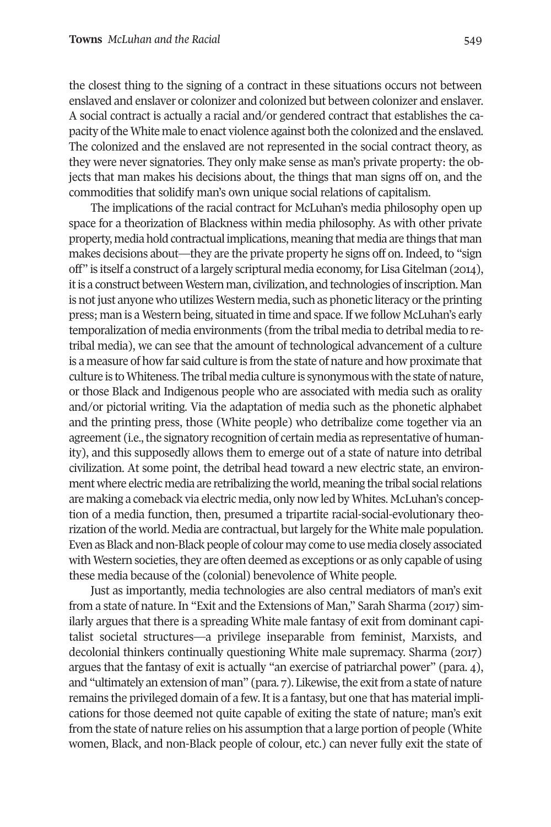the closest thing to the signing of a contract in these situations occurs not between enslaved and enslaver or colonizer and colonized but between colonizer and enslaver. A social contract is actually a racial and/or gendered contract that establishes the capacity ofthe White male to enact violence against both the colonized and the enslaved. The colonized and the enslaved are not represented in the social contract theory, as they were never signatories. They only make sense as man's private property: the objects that man makes his decisions about, the things that man signs off on, and the commodities that solidify man's own unique social relations of capitalism.

The implications of the racial contract for McLuhan's media philosophy open up space for a theorization of Blackness within media philosophy. As with other private property, media hold contractual implications, meaning that media are things that man makes decisions about—they are the private property he signs off on. Indeed, to "sign off" is itself a construct of a largely scriptural media economy, for LisaGitelman (2014), it is a construct between Western man, civilization, and technologies of inscription. Man is not just anyone who utilizes Western media, such as phonetic literacy or the printing press; man is a Western being, situated in time and space.If we follow McLuhan's early temporalization of media environments (from the tribal media to detribal media to retribal media), we can see that the amount of technological advancement of a culture is a measure of how far said culture is from the state of nature and how proximate that culture is toWhiteness. The tribal media culture is synonymous with the state of nature, or those Black and Indigenous people who are associated with media such as orality and/or pictorial writing. Via the adaptation of media such as the phonetic alphabet and the printing press, those (White people) who detribalize come together via an agreement (i.e., the signatory recognition of certain media as representative of humanity), and this supposedly allows them to emerge out of a state of nature into detribal civilization. At some point, the detribal head toward a new electric state, an environment where electric media are retribalizing the world, meaning the tribal social relations are making a comeback via electric media, only now led by Whites. McLuhan's conception of a media function, then, presumed a tripartite racial-social-evolutionary theorization ofthe world. Media are contractual, butlargely forthe White male population. Even asBlack and non-Black people of colour may come to use media closely associated with Western societies, they are often deemed as exceptions or as only capable of using these media because of the (colonial) benevolence of White people.

Just as importantly, media technologies are also central mediators of man's exit from a state of nature. In "Exit and the Extensions of Man," Sarah Sharma (2017) similarly argues that there is a spreading White male fantasy of exit from dominant capitalist societal structures—a privilege inseparable from feminist, Marxists, and decolonial thinkers continually questioning White male supremacy. Sharma (2017) argues that the fantasy of exit is actually "an exercise of patriarchal power" (para. 4), and "ultimately an extension of man" (para. 7). Likewise, the exit from a state of nature remains the privileged domain of a few. It is a fantasy, but one that has material implications for those deemed not quite capable of exiting the state of nature; man's exit from the state of nature relies on his assumption that a large portion of people (White women, Black, and non-Black people of colour, etc.) can never fully exit the state of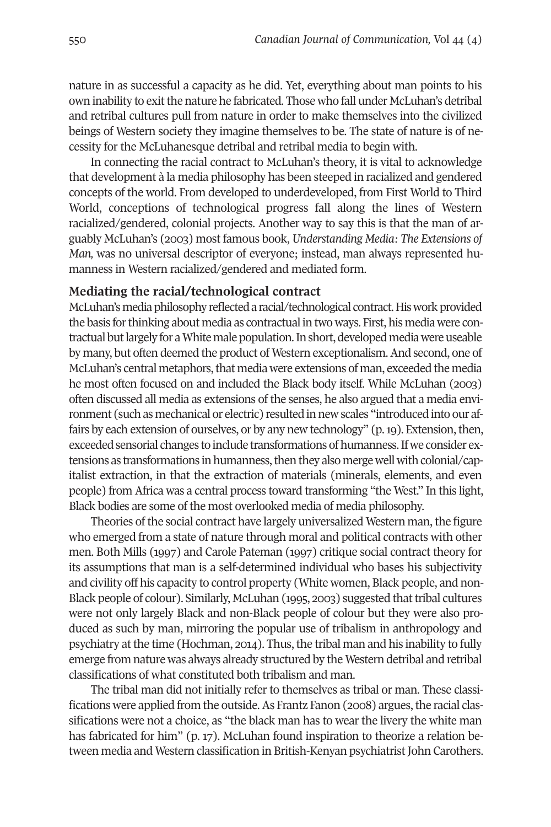nature in as successful a capacity as he did. Yet, everything about man points to his own inability to exit the nature he fabricated. Those who fall under McLuhan's detribal and retribal cultures pull from nature in order to make themselves into the civilized beings of Western society they imagine themselves to be. The state of nature is of necessity for the McLuhanesque detribal and retribal media to begin with.

In connecting the racial contract to McLuhan's theory, it is vital to acknowledge that development à la media philosophy has been steeped in racialized and gendered concepts of the world. From developed to underdeveloped, from First World to Third World, conceptions of technological progress fall along the lines of Western racialized/gendered, colonial projects. Another way to say this is that the man of arguably McLuhan's (2003) most famous book, *Understanding Media: The Extensions of Man,* was no universal descriptor of everyone; instead, man always represented humanness in Western racialized/gendered and mediated form.

### **Mediating the racial/technological contract**

McLuhan's media philosophy reflected a racial/technological contract. His work provided the basis for thinking about media as contractual in two ways. First, his media were contractual but largely for a White male population. In short, developed media were useable by many, but often deemed the product of Western exceptionalism.And second, one of McLuhan's central metaphors, that media were extensions of man, exceeded the media he most often focused on and included the Black body itself. While McLuhan (2003) often discussed all media as extensions of the senses, he also argued that a media environment (such as mechanical or electric) resulted in new scales "introduced into our affairs by each extension of ourselves, or by any new technology" (p.19). Extension,then, exceeded sensorial changes to include transformations of humanness. If we consider extensions as transformations in humanness, then they also merge well with colonial/capitalist extraction, in that the extraction of materials (minerals, elements, and even people) from Africa was a central process toward transforming "the West." In this light, Black bodies are some of the most overlooked media of media philosophy.

Theories of the social contract have largely universalized Western man, the figure who emerged from a state of nature through moral and political contracts with other men. Both Mills (1997) and Carole Pateman (1997) critique social contract theory for its assumptions that man is a self-determined individual who bases his subjectivity and civility off his capacity to control property (White women, Black people, and non-Black people of colour). Similarly, McLuhan (1995, 2003) suggested thattribal cultures were not only largely Black and non-Black people of colour but they were also produced as such by man, mirroring the popular use of tribalism in anthropology and psychiatry at the time (Hochman, 2014). Thus, the tribal man and his inability to fully emerge from nature was always already structured by the Western detribal and retribal classifications of what constituted both tribalism and man.

The tribal man did not initially refer to themselves as tribal or man. These classifications were applied from the outside. As Frantz Fanon (2008) argues, the racial classifications were not a choice, as "the black man has to wear the livery the white man has fabricated for him" (p. 17). McLuhan found inspiration to theorize a relation between media and Western classification in British-Kenyan psychiatrist John Carothers.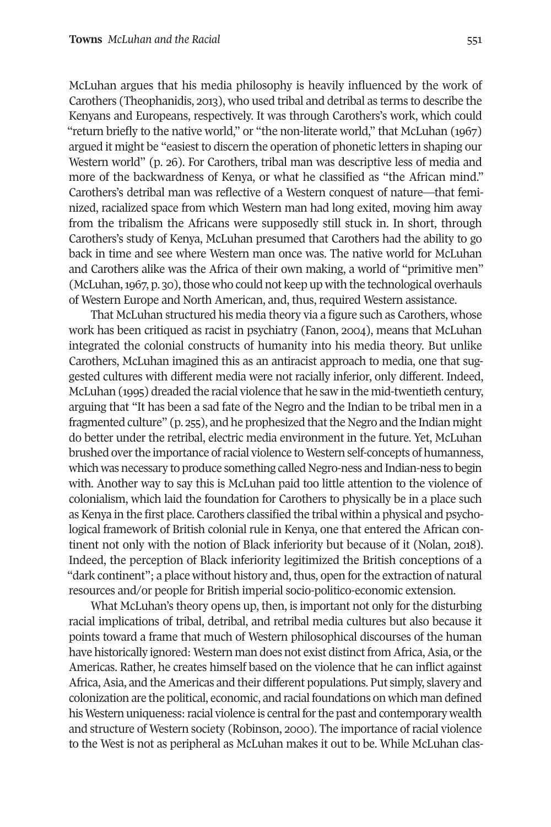McLuhan argues that his media philosophy is heavily influenced by the work of Carothers (Theophanidis, 2013), who used tribal and detribal as terms to describe the Kenyans and Europeans, respectively. It was through Carothers's work, which could "return briefly to the native world," or "the non-literate world," that McLuhan (1967) argued it might be "easiest to discern the operation of phonetic letters in shaping our Western world" (p. 26). For Carothers, tribal man was descriptive less of media and more of the backwardness of Kenya, or what he classified as "the African mind." Carothers's detribal man was reflective of a Western conquest of nature—that feminized, racialized space from which Western man had long exited, moving him away from the tribalism the Africans were supposedly still stuck in. In short, through Carothers's study of Kenya, McLuhan presumed that Carothers had the ability to go back in time and see where Western man once was. The native world for McLuhan and Carothers alike was the Africa of their own making, a world of "primitive men" (McLuhan,  $1967$ , p. 30), those who could not keep up with the technological overhauls of Western Europe and North American, and, thus, required Western assistance.

That McLuhan structured his media theory via a figure such as Carothers, whose work has been critiqued as racist in psychiatry (Fanon, 2004), means that McLuhan integrated the colonial constructs of humanity into his media theory. But unlike Carothers, McLuhan imagined this as an antiracist approach to media, one that suggested cultures with different media were not racially inferior, only different. Indeed, McLuhan (1995) dreaded the racial violence that he saw in the mid-twentieth century, arguing that "It has been a sad fate of the Negro and the Indian to be tribal men in a fragmented culture" (p. 255), and he prophesized thatthe Negro and the Indian might do better under the retribal, electric media environment in the future. Yet, McLuhan brushed overthe importance ofracial violence to Western self-concepts of humanness, which was necessary to produce something called Negro-ness and Indian-ness to begin with. Another way to say this is McLuhan paid too little attention to the violence of colonialism, which laid the foundation for Carothers to physically be in a place such as Kenya in the first place. Carothers classified the tribal within a physical and psychological framework of British colonial rule in Kenya, one that entered the African continent not only with the notion of Black inferiority but because of it (Nolan, 2018). Indeed, the perception of Black inferiority legitimized the British conceptions of a "dark continent"; a place without history and, thus, open for the extraction of natural resources and/or people for British imperial socio-politico-economic extension.

What McLuhan's theory opens up, then, is important not only for the disturbing racial implications of tribal, detribal, and retribal media cultures but also because it points toward a frame that much of Western philosophical discourses of the human have historically ignored: Western man does not exist distinct from Africa, Asia, or the Americas. Rather, he creates himself based on the violence that he can inflict against Africa, Asia, and the Americas and their different populations. Put simply, slavery and colonization are the political, economic, and racial foundations on which man defined his Western uniqueness: racial violence is central for the past and contemporary wealth and structure of Western society (Robinson, 2000). The importance of racial violence to the West is not as peripheral as McLuhan makes it out to be. While McLuhan clas-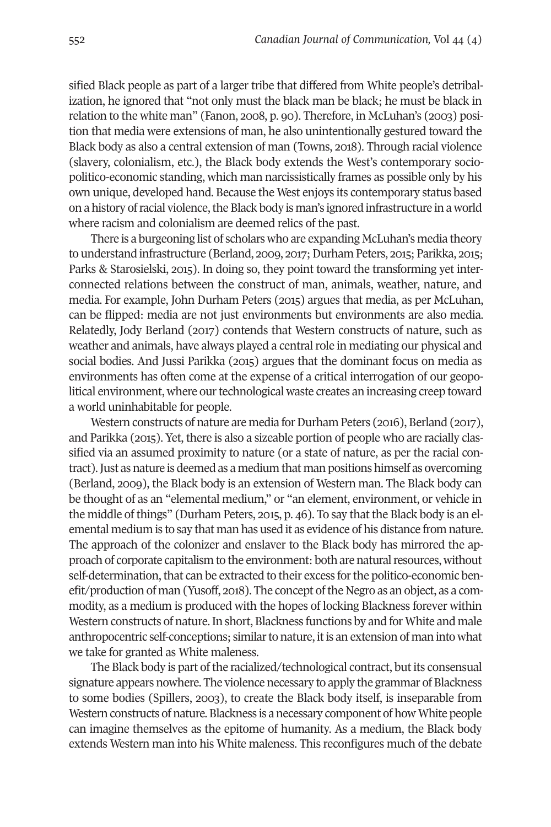sified Black people as part of a larger tribe that differed from White people's detribalization, he ignored that "not only must the black man be black; he must be black in relation to the white man" (Fanon, 2008, p. 90). Therefore, in McLuhan's (2003) position that media were extensions of man, he also unintentionally gestured toward the Black body as also a central extension of man (Towns, 2018). Through racial violence (slavery, colonialism, etc.), the Black body extends the West's contemporary sociopolitico-economic standing, which man narcissistically frames as possible only by his own unique, developed hand. Because the West enjoys its contemporary status based on a history of racial violence, the Black body is man's ignored infrastructure in a world where racism and colonialism are deemed relics of the past.

There is a burgeoning list of scholars who are expanding McLuhan's media theory to understand infrastructure (Berland, 2009, 2017; Durham Peters, 2015; Parikka, 2015; Parks & Starosielski, 2015). In doing so, they point toward the transforming yet interconnected relations between the construct of man, animals, weather, nature, and media. For example, John Durham Peters (2015) argues that media, as per McLuhan, can be flipped: media are not just environments but environments are also media. Relatedly, Jody Berland (2017) contends that Western constructs of nature, such as weather and animals, have always played a central role in mediating our physical and social bodies. And Jussi Parikka (2015) argues that the dominant focus on media as environments has often come at the expense of a critical interrogation of our geopolitical environment, where our technological waste creates an increasing creep toward a world uninhabitable for people.

Western constructs of nature are media for Durham Peters (2016), Berland (2017), and Parikka (2015). Yet, there is also a sizeable portion of people who are racially classified via an assumed proximity to nature (or a state of nature, as per the racial contract).Just as nature is deemed as a medium that man positions himself as overcoming (Berland, 2009), the Black body is an extension of Western man. The Black body can be thought of as an "elemental medium," or "an element, environment, or vehicle in the middle of things" (Durham Peters, 2015, p. 46). To say that the Black body is an elemental medium is to say that man has used it as evidence of his distance from nature. The approach of the colonizer and enslaver to the Black body has mirrored the approach of corporate capitalism to the environment: both are naturalresources, without self-determination, that can be extracted to their excess for the politico-economic benefit/production of man (Yusoff, 2018). The concept ofthe Negro as an object, as a commodity, as a medium is produced with the hopes of locking Blackness forever within Western constructs of nature.In short, Blackness functions by and for White and male anthropocentric self-conceptions; similar to nature, it is an extension of man into what we take for granted as White maleness.

The Black body is part of the racialized/technological contract, but its consensual signature appears nowhere. The violence necessary to apply the grammar of Blackness to some bodies (Spillers, 2003), to create the Black body itself, is inseparable from Western constructs of nature. Blackness is a necessary component of how White people can imagine themselves as the epitome of humanity. As a medium, the Black body extends Western man into his White maleness. This reconfigures much of the debate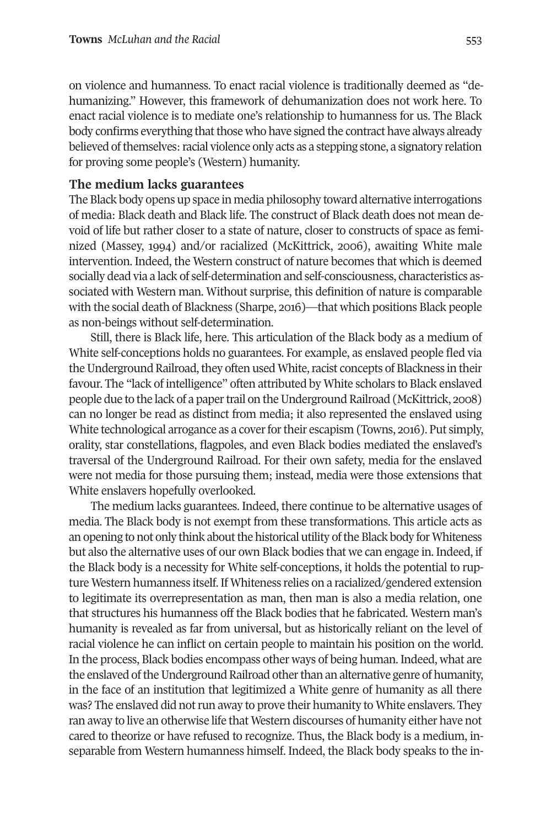on violence and humanness. To enact racial violence is traditionally deemed as "dehumanizing." However, this framework of dehumanization does not work here. To enact racial violence is to mediate one's relationship to humanness for us. The Black body confirms everything that those who have signed the contract have always already believed of themselves: racial violence only acts as a stepping stone, a signatory relation for proving some people's (Western) humanity.

#### **The medium lacks guarantees**

The Black body opens up space in media philosophy toward alternative interrogations of media: Black death and Black life. The construct of Black death does not mean devoid of life but rather closer to a state of nature, closer to constructs of space as feminized (Massey, 1994) and/or racialized (McKittrick, 2006), awaiting White male intervention. Indeed, the Western construct of nature becomes that which is deemed socially dead via a lack of self-determination and self-consciousness, characteristics associated with Western man. Without surprise, this definition of nature is comparable with the social death of Blackness (Sharpe, 2016)—that which positions Black people as non-beings without self-determination.

Still, there is Black life, here. This articulation of the Black body as a medium of White self-conceptions holds no guarantees. For example, as enslaved people fled via the Underground Railroad, they often used White, racist concepts of Blackness in their favour. The "lack of intelligence" often attributed by White scholars to Black enslaved people due to the lack of a paper trail on the Underground Railroad (McKittrick, 2008) can no longer be read as distinct from media; it also represented the enslaved using White technological arrogance as a cover for their escapism (Towns, 2016). Put simply, orality, star constellations, flagpoles, and even Black bodies mediated the enslaved's traversal of the Underground Railroad. For their own safety, media for the enslaved were not media for those pursuing them; instead, media were those extensions that White enslavers hopefully overlooked.

The medium lacks guarantees. Indeed, there continue to be alternative usages of media. The Black body is not exempt from these transformations. This article acts as an opening to not only think about the historical utility of the Black body for Whiteness but also the alternative uses of our own Black bodies that we can engage in. Indeed, if the Black body is a necessity for White self-conceptions, it holds the potential to rupture Western humanness itself. If Whiteness relies on a racialized/gendered extension to legitimate its overrepresentation as man, then man is also a media relation, one that structures his humanness off the Black bodies that he fabricated. Western man's humanity is revealed as far from universal, but as historically reliant on the level of racial violence he can inflict on certain people to maintain his position on the world. In the process, Black bodies encompass other ways of being human. Indeed, what are the enslaved of the Underground Railroad other than an alternative genre of humanity, in the face of an institution that legitimized a White genre of humanity as all there was? The enslaved did not run away to prove their humanity to White enslavers. They ran away to live an otherwise life that Western discourses of humanity either have not cared to theorize or have refused to recognize. Thus, the Black body is a medium, inseparable from Western humanness himself. Indeed, the Black body speaks to the in